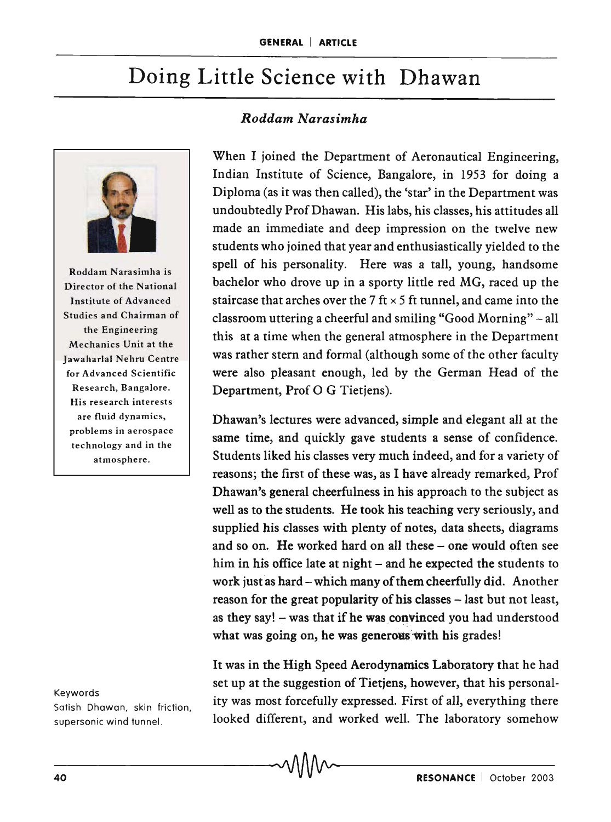# Doing Little Science with Dhawan

## *Roddam Narasimha*



Roddam Narasimha is Director of the National Institute of Advanced Studies and Chairman of the Engineering Mechanics Unit at the Jawaharlal Nehru Centre for Advanced Scientific Research, Bangalore. His research interests are fluid dynamics, problems in aerospace technology and in the atmosphere.

#### Keywords

Satish Dhawan, skin friction, supersonic wind tunnel.

When I joined the Department of Aeronautical Engineering, Indian Institute of Science, Bangalore, in 1953 for doing a Diploma (as it was then called), the 'star' in the Department was undoubtedly Prof Dhawan. His labs, his classes, his attitudes all made an immediate and deep impression on the twelve new students who joined that year and enthusiastically yielded to the spell of his personality. Here was a tall, young, handsome bachelor who drove up in a sporty little red MG, raced up the staircase that arches over the 7 ft  $\times$  5 ft tunnel, and came into the classroom uttering a cheerful and smiling "Good Morning" - all this at a time when the general atmosphere in the Department was rather stern and formal (although some of the other faculty were also pleasant enough, led by the. German Head of the Department, Prof 0 G Tietjens).

Dhawan's lectures were advanced, simple and elegant all at the same time, and quickly gave students a sense of confidence. Students liked his classes very much indeed, and for a variety of reasons; the first of these was, as I have already remarked, Prof Dhawan's general cheerfulness in his approach to the subject as well as to the students. He took his teaching very seriously, and supplied his classes with plenty of notes, data sheets, diagrams and so on. He worked hard on all these – one would often see him in his office late at night  $-$  and he expected the students to work just as hard - which many of them cheerfully did. Another reason for the great popularity of his classes - last but not least, as they say!  $-$  was that if he was convinced you had understood what was going on, he was generous with his grades!

It was in the High Speed Aerodynamics Laboratory that he had set up at the suggestion of Tietjens, however, that his personality was most forcefully expressed. First of all, everything there looked different, and worked well. The laboratory somehow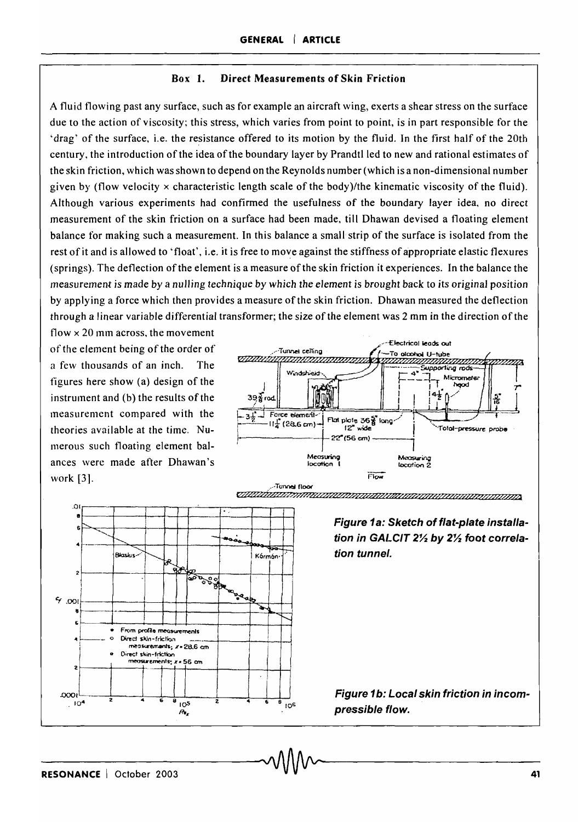#### Box 1. Direct Measurements of Skin Friction

A fluid flowing past any surface, such as for example an aircraft wing, exerts a shear stress on the surface due to the action of viscosity; this stress, which varies from point to point, is in part responsible for the 'drag' of the surface, i.e. the resistance offered to its motion by the fluid. In the first half of the 20th century, the introduction of the idea of the boundary layer by Prandtlled to new and rational estimates of the skin friction, which was shown to depend on the Reynolds number (which is a non-dimensional number given by (flow velocity  $\times$  characteristic length scale of the body)/the kinematic viscosity of the fluid). Although various experiments had confirmed the usefulness of the boundary layer idea, no direct measurement of the skin friction on a surface had been made, till Dhawan devised a floating element balance for making such a measurement. In this balance a small strip of the surface is isolated from the rest of it and is allowed to 'float', i.e. it is free to move against the stiffness of appropriate elastic flexures (springs). The deflection of the element is a measure ofthe skin friction it experiences. In the balance the measurement *is* made by a *nulling* technique by which the element is brought back to *its* original position by applying a force which then provides a measure of the skin friction. Dhawan measured the deflection through a linear variable differential transformer; the size of the element was 2 mm in the direction of the

**I** 

 $\overline{\phantom{a}}$ 

 $10<sub>6</sub>$ 

Kórmán

I I

 $\pm$ I<sub>I</sub>

flow  $\times$  20 mm across, the movement of the element being of the order of a few thousands of an inch. The figures here show (a) design of the instrument and (b) the results of the measurement compared with the theories available at the time. Numerous such floating element balances were made after Dhawan's work [3].

(,-----

 $\alpha$ 

 $9.001$ 

 $\overline{\phantom{a}}$ 

BIaW>~ \_\_\_

 $\sim$   $\sim$   $\sim$   $\sim$   $\sim$   $\sim$   $\sim$ 

~ 1- ~o:P

From profile measurements DIrect skln-(rict":m --- ~1J5I¥emanf~~ *r.26.6* em Direct skin-friction lTlf!QSU'emenls-; *x·* 56 an

r III<br><u>1</u>

 $10<sup>5</sup>$  $R_1$ 

..

 $-$ 

~~~

 $\overline{\phantom{a}}$ 

*r----'*   $\begin{array}{c} \begin{array}{c} \text{ } \\ \text{ } \\ \text{ } \\ \text{ } \\ \text{ } \\ \end{array} \end{array}$ 

o Direc<br>m

 $\begin{array}{c|c|c|c|c} \n\hline\n\text{2} & & & \\
\hline\n\text{2} & & & \\
\hline\n\text{10} & & & \\
\hline\n\text{10} & & & \\
\hline\n\end{array}$ 





Figure 1a: Sketch of flat-plate installation in GALCIT 2 $\frac{1}{2}$  by 2 $\frac{1}{2}$  foot correlation tunnel.

Figure 1b: Local skin friction in incompressible flow.

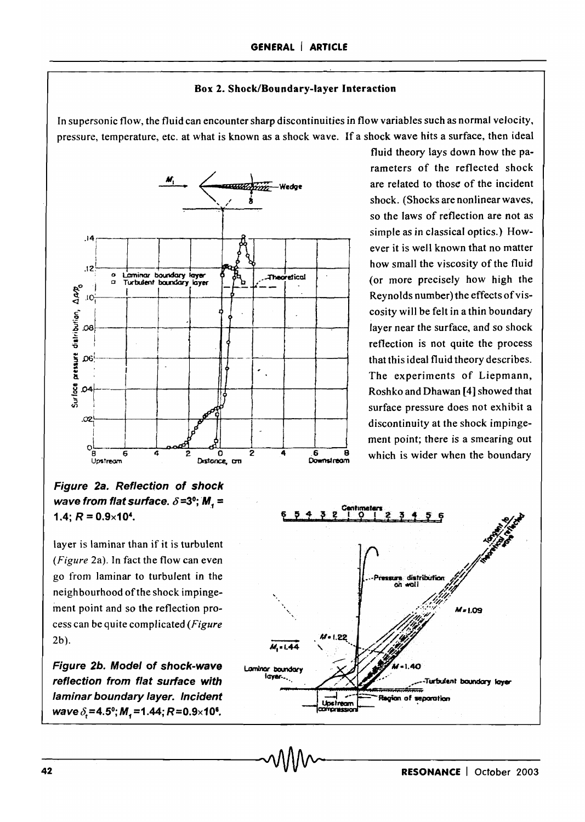

In supersonic flow, the fluid can encounter sharp discontinuities in flow variables such as normal velocity. pressure, temperature, etc. at what is known as a shock wave. If a shock wave hits a surface, then ideal



fluid theory lays down how the parameters of the reflected shock are related to those of the incident shock. (Shocks are nonlinear waves, so the laws of reflection are not as simple as in classical optics.) However it is well known that no matter how small the viscosity of the fluid (or more precisely how high the Reyno Ids number) the effects of viscosity will be felt in a thin boundary layer near the surface, and so shock reflection is not quite the process that this ideal fluid theory describes. The experiments of Liepmann, Roshko and Dhawan [4) showed that surface pressure does not exhibit a discontinuity at the shock impingement point; there is a smearing out which is wider when the boundary

## Figure 2a. Reflection of shock wave from flat surface.  $\delta = 3^{\circ}$ ; M, = 1.4;  $R = 0.9 \times 10^4$ .

layer is laminar than if it is turbulent *(Figure* 2a). In fact the flow can even go from laminar to turbulent in the neighbourhood of the shock impingement point and so the reflection process can be quite complicated *(Figure*  2b).

Figure 2b. Model of shock-wave reflection from flat surface with laminar boundary layer. Incident wave  $\delta$  =4.5°; M, =1.44; R=0.9×10°.

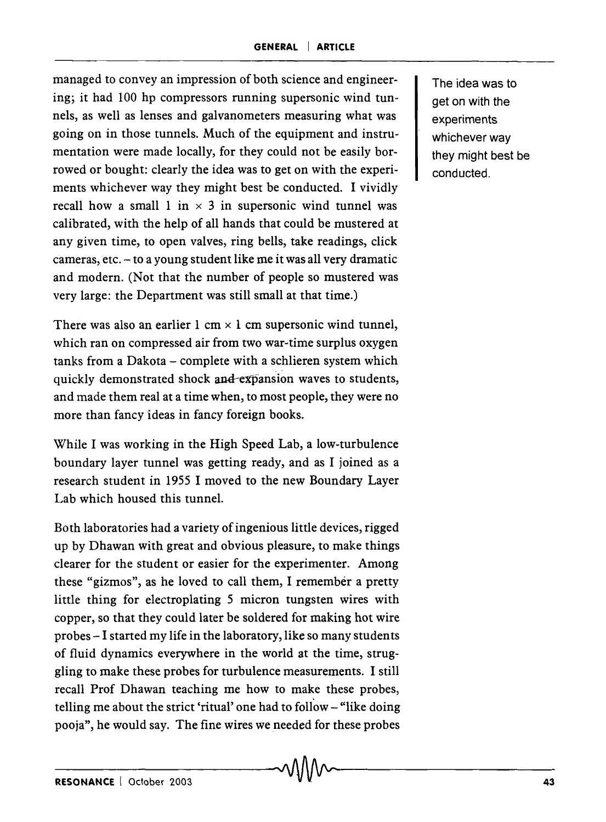managed to convey an impression of both science and engineering; it had 100 hp compressors running supersonic wind tunnels, as well as lenses and galvanometers measuring what was going on in those tunnels. Much of the equipment and instrumentation were made locally, for they could not be easily borrowed or bought: clearly the idea was to get on with the experiments whichever way they might best be conducted. I vividly recall how a small 1 in  $\times$  3 in supersonic wind tunnel was calibrated, with the help of all hands that could be mustered at any given time, to open valves, ring bells, take readings, click cameras, etc. - to a young student like me it was all very dramatic and modern. (Not that the number of people so mustered was very large: the Department was still small at that time.)

There was also an earlier 1 cm  $\times$  1 cm supersonic wind tunnel, which ran on compressed air from two war-time surplus oxygen tanks from a Dakota - complete with a schlieren system which quickly demonstrated shock and-expansion waves to students, and made them real at a time when, to most people, they were no more than fancy ideas in fancy foreign books.

While I was working in the High Speed Lab, a low-turbulence boundary layer tunnel was getting ready, and as I joined as a research student in 1955 I moved to the new Boundary Layer Lab which housed this tunnel.

Both laboratories had a variety of ingenious little devices, rigged up by Dhawan with great and obvious pleasure, to make things clearer for the student or easier for the experimenter. Among these "gizmos", as he loved to call them, I remember a pretty little thing for electroplating 5 micron tungsten wires with copper, so that they could later be soldered for making hot wire probes - I started my life in the laboratory, like so many students of fluid dynamics everywhere in the world at the time, struggling to make these probes for turbulence measurements. I still recall Prof Dhawan teaching me how to make these probes, telling me about the strict 'ritual' one had to follow  $-$  "like doing pooja", he would say. The fine wires we needed for these probes

The idea was to get on with the experiments whichever way they might best be conducted.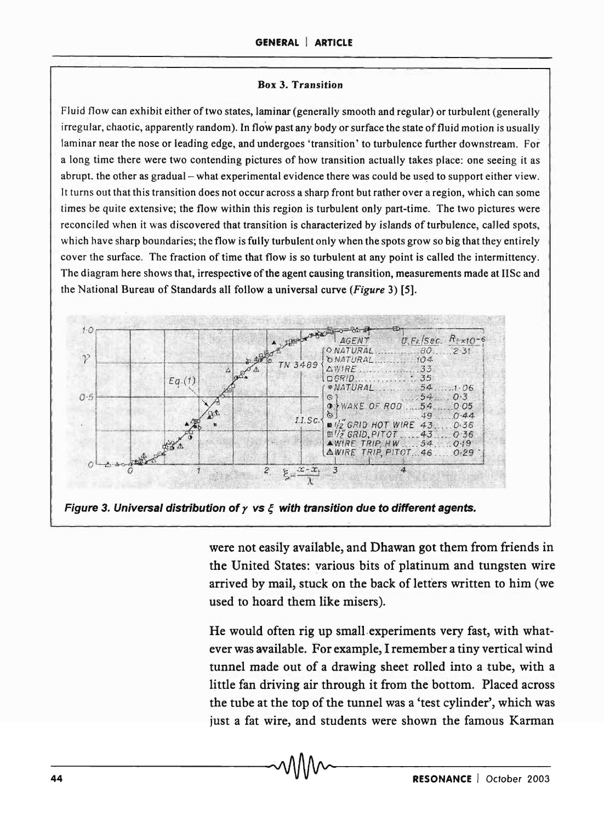#### Box 3. Transition

Fluid flow can exhibit either of two states, laminar (generally smooth and regular) or turbulent (generally irregular, chaotic, apparently random). In flow past any body or surface the state offluid motion is usually laminar near the nose or leading edge, and undergoes 'transition' to turbulence further downstream. For a long time there were two contending pictures of how transition actually takes place: one seeing it as abrupt, the other as gradual – what experimental evidence there was could be used to support either view. It turns out that this transition does not occur across a sharp front but rather over a region, which can some times be quite extensive; the flow within this region is turbulent only part-time. The two pictures were reconciled when it was discovered that transition is characterized by islands of turbulence, called spots, which have sharp boundaries; the flow is fully turbulent only when the spots grow so big that they entirely cover the surface. The fraction of time that flow is so turbulent at any point is called the intermittency. The diagram here shows that, irrespective of the agent causing transition, measurements made at IISc and the National Bureau of Standards all follow a universal curve *(Figure* 3) [5].



Figure 3. Universal distribution of  $\gamma$  vs  $\zeta$  with transition due to different agents.

were not easily available, and Dhawan got them from friends in the United States: various bits of platinum and tungsten wire arrived by mail, stuck on the back of letters written to him (we used to hoard them like misers).

He would often rig up small.experiments very fast, with whatever was available. For example, I remember a tiny vertical wind tunnel made out of a drawing sheet rolled into a tube, with a little fan driving air through it from the bottom. Placed across the tube at the top of the tunnel was a 'test cylinder', which was just a fat wire, and students were shown the famous Karman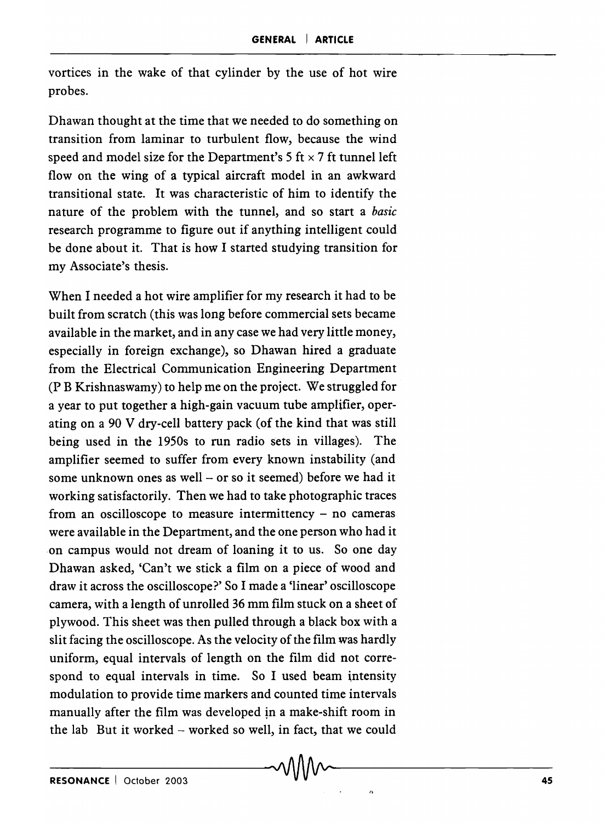vortices in the wake of that cylinder by the use of hot wire probes.

Dhawan thought at the time that we needed to do something on transition from laminar to turbulent flow, because the wind speed and model size for the Department's 5 ft  $\times$  7 ft tunnel left flow on the wing of a typical aircraft model in an awkward transitional state. It was characteristic of him to identify the nature of the problem with the tunnel, and so start a *basic*  research programme to figure out if anything intelligent could be done about it. That is how I started studying transition for my Associate's thesis.

When I needed a hot wire amplifier for my research it had to be built from scratch (this was long before commercial sets became available in the market, and in any case we had very little money, especially in foreign exchange), so Dhawan hired a graduate from the Electrical Communication Engineering Department (P B Krishnaswamy) to help me on the project. We struggled for a year to put together a high-gain vacuum tube amplifier, operating on a 90 V dry-cell battery pack (of the kind that was still being used in the 1950s to run radio sets in villages). The amplifier seemed to suffer from every known instability (and some unknown ones as well  $-$  or so it seemed) before we had it working satisfactorily. Then we had to take photographic traces from an oscilloscope to measure intermittency - no cameras were available in the Department, and the one person who had it on campus would not dream of loaning it to us. So one day Dhawan asked, 'Can't we stick a film on a piece of wood and draw it across the oscilloscope?' So I made a 'linear' oscilloscope camera, with a length of unrolled 36 mm film stuck on a sheet of plywood. This sheet was then pulled through a black box with a slit facing the oscilloscope. As the velocity of the film was hardly uniform, equal intervals of length on the film did not correspond to equal intervals in time. So I used beam intensity modulation to provide time markers and counted time intervals manually after the film was developed in a make-shift room in the lab But it worked  $-$  worked so well, in fact, that we could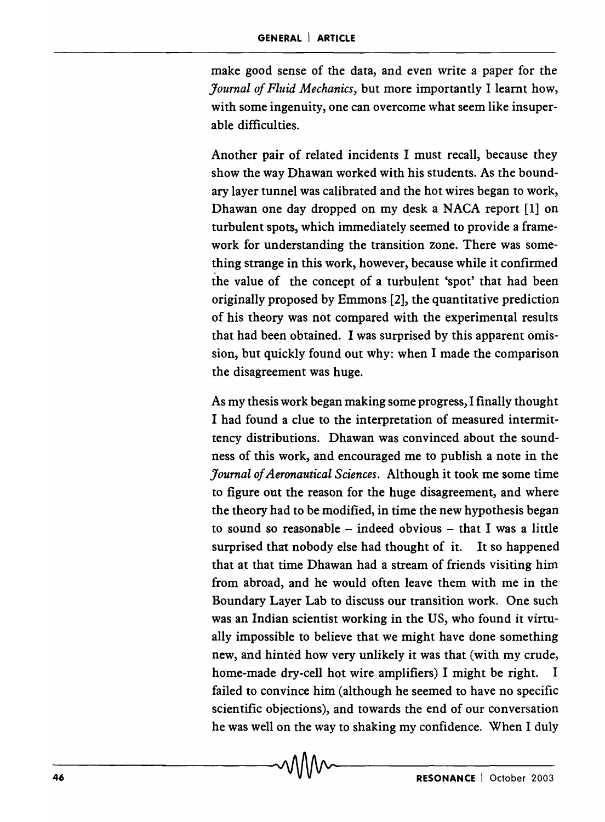make good sense of the data, and even write a paper for the *Journal of Fluid Mechanics,* but more importantly I learnt how, with some ingenuity, one can overcome what seem like insuperable difficulties.

Another pair of related incidents I must recall, because they show the way Dhawan worked with his students. As the boundary layer tunnel was calibrated and the hot wires began to work, Dhawan one day dropped on my desk a NACA report [1] on turbulent spots, which immediately seemed to provide a framework for understanding the transition zone. There was something strange in this work, however, because while it confirmed the value of the concept of a turbulent 'spot' that had been originally proposed by Emmons [2], the quantitative prediction of his theory was not compared with the experimental results that had been obtained. I was surprised by this apparent omission, but quickly found out why: when I made the comparison the disagreement was huge.

As my thesis work began making some progress, I finally thought I had found a clue to the interpretation of measured intermittency distributions. Dhawan was convinced about the soundness of this work, and encouraged me to publish a note in the *Journal of Aeronautical Sciences.* Although it took me some time to figure out the reason for the huge disagreement, and where the theory had to be modified, in time the new hypothesis began to sound so reasonable  $-$  indeed obvious  $-$  that I was a little surprised that nobody else had thought of it. It so happened that at that time Dhawan had a stream of friends visiting him from abroad, and he would often leave them with me in the Boundary Layer Lab to discuss our transition work. One such was an Indian scientist working in the US, who found it virtually impossible to believe that we might have done something new, and hinted how very unlikely it was that (with my crude, home-made dry-cell hot wire amplifiers) I might be right. I failed to convince him (although he seemed to have no specific scientific objections), and towards the end of our conversation he was well on the way to shaking my confidence. When I duly